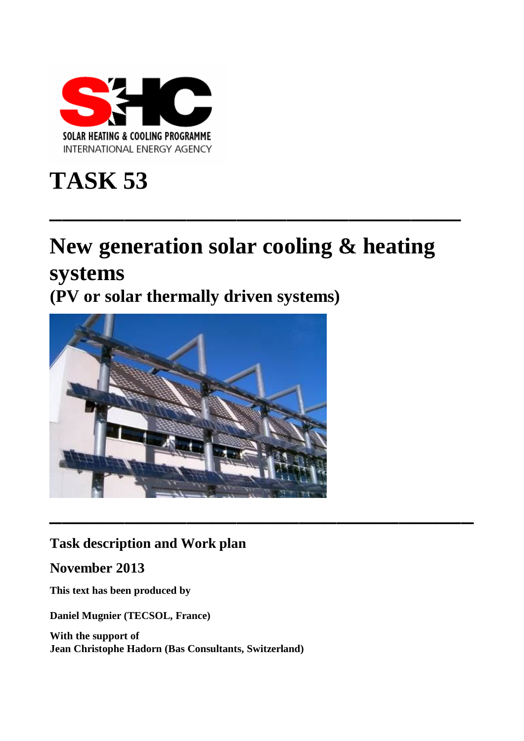

# **TASK 53**

# **New generation solar cooling & heating systems**

**\_\_\_\_\_\_\_\_\_\_\_\_\_\_\_\_\_\_\_\_\_\_\_\_\_\_\_\_\_\_\_\_\_**

**(PV or solar thermally driven systems)**



# **Task description and Work plan**

**November 2013**

**This text has been produced by**

**Daniel Mugnier (TECSOL, France)** 

**With the support of Jean Christophe Hadorn (Bas Consultants, Switzerland)**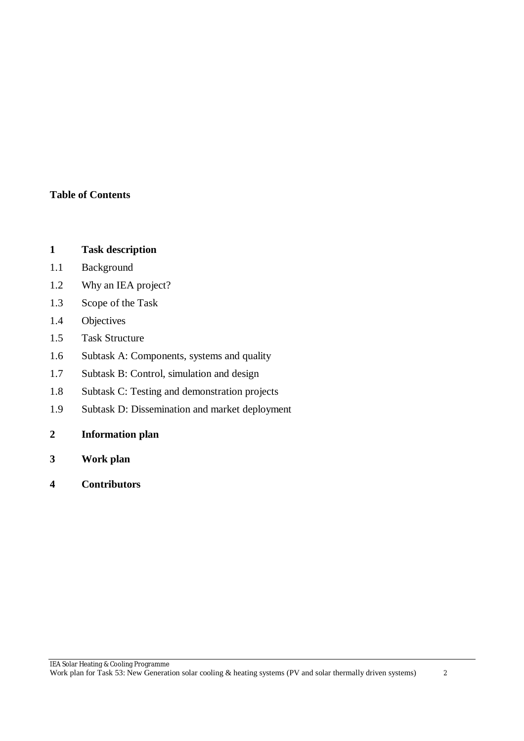#### **Table of Contents**

#### **1 Task description**

- 1.1 Background
- 1.2 Why an IEA project?
- 1.3 Scope of the Task
- 1.4 Objectives
- 1.5 Task Structure
- 1.6 Subtask A: Components, systems and quality
- 1.7 Subtask B: Control, simulation and design
- 1.8 Subtask C: Testing and demonstration projects
- 1.9 Subtask D: Dissemination and market deployment
- **2 Information plan**
- **3 Work plan**
- **4 Contributors**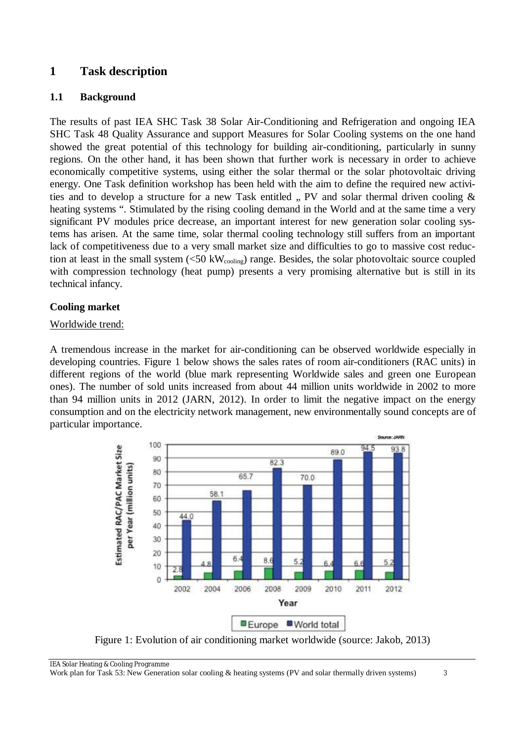# **1 Task description**

#### **1.1 Background**

The results of past IEA SHC Task 38 Solar Air-Conditioning and Refrigeration and ongoing IEA SHC Task 48 Quality Assurance and support Measures for Solar Cooling systems on the one hand showed the great potential of this technology for building air-conditioning, particularly in sunny regions. On the other hand, it has been shown that further work is necessary in order to achieve economically competitive systems, using either the solar thermal or the solar photovoltaic driving energy. One Task definition workshop has been held with the aim to define the required new activities and to develop a structure for a new Task entitled  $\mu$ , PV and solar thermal driven cooling  $\&$ heating systems ". Stimulated by the rising cooling demand in the World and at the same time a very significant PV modules price decrease, an important interest for new generation solar cooling systems has arisen. At the same time, solar thermal cooling technology still suffers from an important lack of competitiveness due to a very small market size and difficulties to go to massive cost reduction at least in the small system (<50 kW<sub>cooling</sub>) range. Besides, the solar photovoltaic source coupled with compression technology (heat pump) presents a very promising alternative but is still in its technical infancy.

#### **Cooling market**

#### Worldwide trend:

A tremendous increase in the market for air-conditioning can be observed worldwide especially in developing countries. Figure 1 below shows the sales rates of room air-conditioners (RAC units) in different regions of the world (blue mark representing Worldwide sales and green one European ones). The number of sold units increased from about 44 million units worldwide in 2002 to more than 94 million units in 2012 (JARN, 2012). In order to limit the negative impact on the energy consumption and on the electricity network management, new environmentally sound concepts are of particular importance.



Figure 1: Evolution of air conditioning market worldwide (source: Jakob, 2013)

IEA Solar Heating & Cooling Programme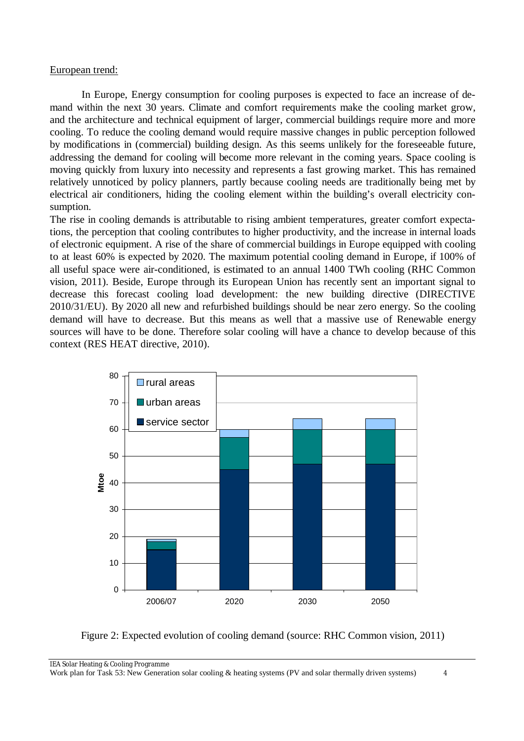#### European trend:

In Europe, Energy consumption for cooling purposes is expected to face an increase of demand within the next 30 years. Climate and comfort requirements make the cooling market grow, and the architecture and technical equipment of larger, commercial buildings require more and more cooling. To reduce the cooling demand would require massive changes in public perception followed by modifications in (commercial) building design. As this seems unlikely for the foreseeable future, addressing the demand for cooling will become more relevant in the coming years. Space cooling is moving quickly from luxury into necessity and represents a fast growing market. This has remained relatively unnoticed by policy planners, partly because cooling needs are traditionally being met by electrical air conditioners, hiding the cooling element within the building's overall electricity consumption.

The rise in cooling demands is attributable to rising ambient temperatures, greater comfort expectations, the perception that cooling contributes to higher productivity, and the increase in internal loads of electronic equipment. A rise of the share of commercial buildings in Europe equipped with cooling to at least 60% is expected by 2020. The maximum potential cooling demand in Europe, if 100% of all useful space were air-conditioned, is estimated to an annual 1400 TWh cooling (RHC Common vision, 2011). Beside, Europe through its European Union has recently sent an important signal to decrease this forecast cooling load development: the new building directive (DIRECTIVE 2010/31/EU). By 2020 all new and refurbished buildings should be near zero energy. So the cooling demand will have to decrease. But this means as well that a massive use of Renewable energy sources will have to be done. Therefore solar cooling will have a chance to develop because of this context (RES HEAT directive, 2010).



Figure 2: Expected evolution of cooling demand (source: RHC Common vision, 2011)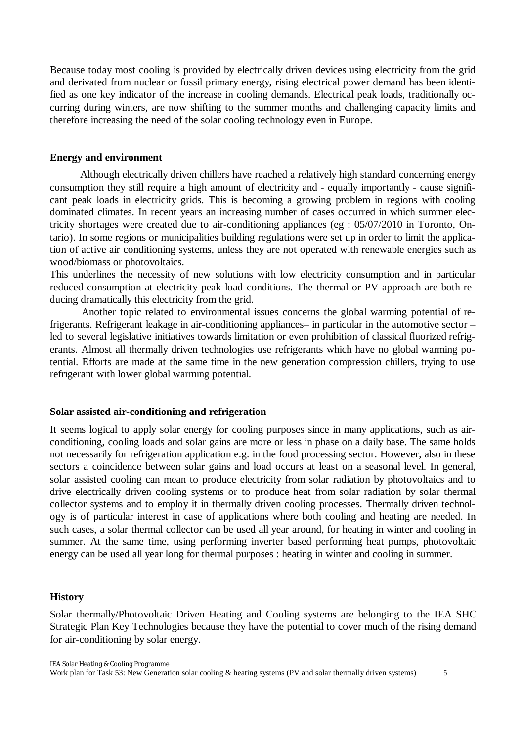Because today most cooling is provided by electrically driven devices using electricity from the grid and derivated from nuclear or fossil primary energy, rising electrical power demand has been identified as one key indicator of the increase in cooling demands. Electrical peak loads, traditionally occurring during winters, are now shifting to the summer months and challenging capacity limits and therefore increasing the need of the solar cooling technology even in Europe.

#### **Energy and environment**

Although electrically driven chillers have reached a relatively high standard concerning energy consumption they still require a high amount of electricity and - equally importantly - cause significant peak loads in electricity grids. This is becoming a growing problem in regions with cooling dominated climates. In recent years an increasing number of cases occurred in which summer electricity shortages were created due to air-conditioning appliances (eg : 05/07/2010 in Toronto, Ontario). In some regions or municipalities building regulations were set up in order to limit the application of active air conditioning systems, unless they are not operated with renewable energies such as wood/biomass or photovoltaics.

This underlines the necessity of new solutions with low electricity consumption and in particular reduced consumption at electricity peak load conditions. The thermal or PV approach are both reducing dramatically this electricity from the grid.

Another topic related to environmental issues concerns the global warming potential of refrigerants. Refrigerant leakage in air-conditioning appliances– in particular in the automotive sector – led to several legislative initiatives towards limitation or even prohibition of classical fluorized refrigerants. Almost all thermally driven technologies use refrigerants which have no global warming potential. Efforts are made at the same time in the new generation compression chillers, trying to use refrigerant with lower global warming potential.

#### **Solar assisted air-conditioning and refrigeration**

It seems logical to apply solar energy for cooling purposes since in many applications, such as airconditioning, cooling loads and solar gains are more or less in phase on a daily base. The same holds not necessarily for refrigeration application e.g. in the food processing sector. However, also in these sectors a coincidence between solar gains and load occurs at least on a seasonal level. In general, solar assisted cooling can mean to produce electricity from solar radiation by photovoltaics and to drive electrically driven cooling systems or to produce heat from solar radiation by solar thermal collector systems and to employ it in thermally driven cooling processes. Thermally driven technology is of particular interest in case of applications where both cooling and heating are needed. In such cases, a solar thermal collector can be used all year around, for heating in winter and cooling in summer. At the same time, using performing inverter based performing heat pumps, photovoltaic energy can be used all year long for thermal purposes : heating in winter and cooling in summer.

#### **History**

Solar thermally/Photovoltaic Driven Heating and Cooling systems are belonging to the IEA SHC Strategic Plan Key Technologies because they have the potential to cover much of the rising demand for air-conditioning by solar energy.

IEA Solar Heating & Cooling Programme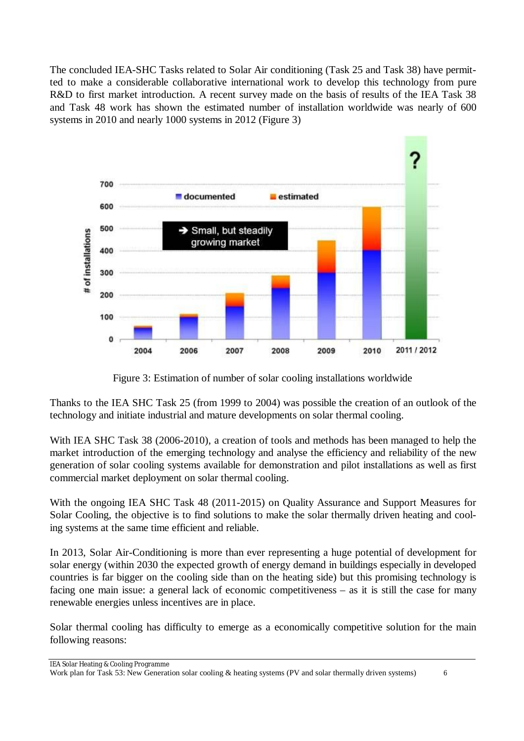The concluded IEA-SHC Tasks related to Solar Air conditioning (Task 25 and Task 38) have permitted to make a considerable collaborative international work to develop this technology from pure R&D to first market introduction. A recent survey made on the basis of results of the IEA Task 38 and Task 48 work has shown the estimated number of installation worldwide was nearly of 600 systems in 2010 and nearly 1000 systems in 2012 (Figure 3)



Figure 3: Estimation of number of solar cooling installations worldwide

Thanks to the IEA SHC Task 25 (from 1999 to 2004) was possible the creation of an outlook of the technology and initiate industrial and mature developments on solar thermal cooling.

With IEA SHC Task 38 (2006-2010), a creation of tools and methods has been managed to help the market introduction of the emerging technology and analyse the efficiency and reliability of the new generation of solar cooling systems available for demonstration and pilot installations as well as first commercial market deployment on solar thermal cooling.

With the ongoing IEA SHC Task 48 (2011-2015) on Quality Assurance and Support Measures for Solar Cooling, the objective is to find solutions to make the solar thermally driven heating and cooling systems at the same time efficient and reliable.

In 2013, Solar Air-Conditioning is more than ever representing a huge potential of development for solar energy (within 2030 the expected growth of energy demand in buildings especially in developed countries is far bigger on the cooling side than on the heating side) but this promising technology is facing one main issue: a general lack of economic competitiveness – as it is still the case for many renewable energies unless incentives are in place.

Solar thermal cooling has difficulty to emerge as a economically competitive solution for the main following reasons:

IEA Solar Heating & Cooling Programme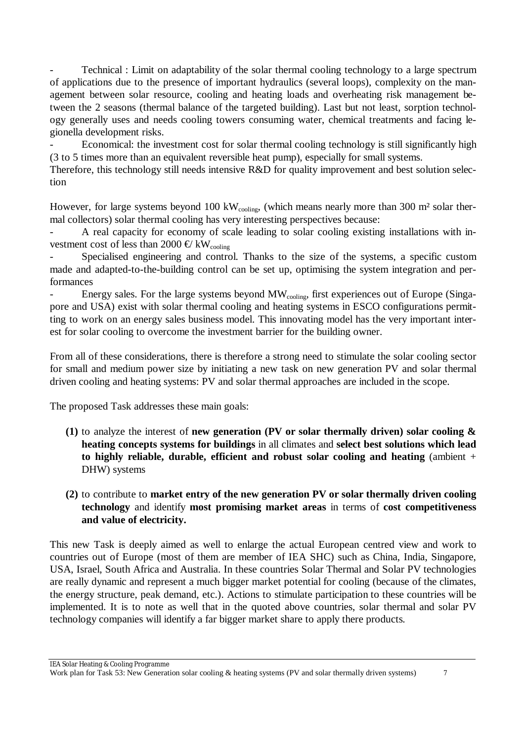Technical : Limit on adaptability of the solar thermal cooling technology to a large spectrum of applications due to the presence of important hydraulics (several loops), complexity on the management between solar resource, cooling and heating loads and overheating risk management between the 2 seasons (thermal balance of the targeted building). Last but not least, sorption technology generally uses and needs cooling towers consuming water, chemical treatments and facing legionella development risks.

Economical: the investment cost for solar thermal cooling technology is still significantly high (3 to 5 times more than an equivalent reversible heat pump), especially for small systems.

Therefore, this technology still needs intensive R&D for quality improvement and best solution selection

However, for large systems beyond 100 kWcooling, (which means nearly more than 300 m<sup>2</sup> solar thermal collectors) solar thermal cooling has very interesting perspectives because:

A real capacity for economy of scale leading to solar cooling existing installations with investment cost of less than 2000  $\oplus$  kW<sub>cooling</sub>

Specialised engineering and control. Thanks to the size of the systems, a specific custom made and adapted-to-the-building control can be set up, optimising the system integration and performances

- Energy sales. For the large systems beyond MW<sub>cooling</sub>, first experiences out of Europe (Singapore and USA) exist with solar thermal cooling and heating systems in ESCO configurations permitting to work on an energy sales business model. This innovating model has the very important interest for solar cooling to overcome the investment barrier for the building owner.

From all of these considerations, there is therefore a strong need to stimulate the solar cooling sector for small and medium power size by initiating a new task on new generation PV and solar thermal driven cooling and heating systems: PV and solar thermal approaches are included in the scope.

The proposed Task addresses these main goals:

- **(1)** to analyze the interest of **new generation (PV or solar thermally driven) solar cooling & heating concepts systems for buildings** in all climates and **select best solutions which lead to highly reliable, durable, efficient and robust solar cooling and heating** (ambient + DHW) systems
- **(2)** to contribute to **market entry of the new generation PV or solar thermally driven cooling technology** and identify **most promising market areas** in terms of **cost competitiveness and value of electricity.**

This new Task is deeply aimed as well to enlarge the actual European centred view and work to countries out of Europe (most of them are member of IEA SHC) such as China, India, Singapore, USA, Israel, South Africa and Australia. In these countries Solar Thermal and Solar PV technologies are really dynamic and represent a much bigger market potential for cooling (because of the climates, the energy structure, peak demand, etc.). Actions to stimulate participation to these countries will be implemented. It is to note as well that in the quoted above countries, solar thermal and solar PV technology companies will identify a far bigger market share to apply there products.

Work plan for Task 53: New Generation solar cooling & heating systems (PV and solar thermally driven systems) 7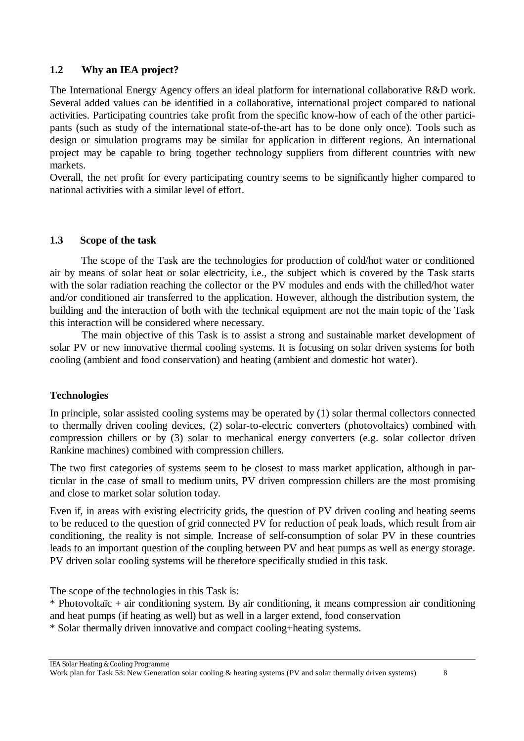#### **1.2 Why an IEA project?**

The International Energy Agency offers an ideal platform for international collaborative R&D work. Several added values can be identified in a collaborative, international project compared to national activities. Participating countries take profit from the specific know-how of each of the other participants (such as study of the international state-of-the-art has to be done only once). Tools such as design or simulation programs may be similar for application in different regions. An international project may be capable to bring together technology suppliers from different countries with new markets.

Overall, the net profit for every participating country seems to be significantly higher compared to national activities with a similar level of effort.

#### **1.3 Scope of the task**

The scope of the Task are the technologies for production of cold/hot water or conditioned air by means of solar heat or solar electricity, i.e., the subject which is covered by the Task starts with the solar radiation reaching the collector or the PV modules and ends with the chilled/hot water and/or conditioned air transferred to the application. However, although the distribution system, the building and the interaction of both with the technical equipment are not the main topic of the Task this interaction will be considered where necessary.

The main objective of this Task is to assist a strong and sustainable market development of solar PV or new innovative thermal cooling systems. It is focusing on solar driven systems for both cooling (ambient and food conservation) and heating (ambient and domestic hot water).

#### **Technologies**

In principle, solar assisted cooling systems may be operated by (1) solar thermal collectors connected to thermally driven cooling devices, (2) solar-to-electric converters (photovoltaics) combined with compression chillers or by (3) solar to mechanical energy converters (e.g. solar collector driven Rankine machines) combined with compression chillers.

The two first categories of systems seem to be closest to mass market application, although in particular in the case of small to medium units, PV driven compression chillers are the most promising and close to market solar solution today.

Even if, in areas with existing electricity grids, the question of PV driven cooling and heating seems to be reduced to the question of grid connected PV for reduction of peak loads, which result from air conditioning, the reality is not simple. Increase of self-consumption of solar PV in these countries leads to an important question of the coupling between PV and heat pumps as well as energy storage. PV driven solar cooling systems will be therefore specifically studied in this task.

The scope of the technologies in this Task is:

\* Photovoltaïc + air conditioning system. By air conditioning, it means compression air conditioning and heat pumps (if heating as well) but as well in a larger extend, food conservation

\* Solar thermally driven innovative and compact cooling+heating systems.

Work plan for Task 53: New Generation solar cooling & heating systems (PV and solar thermally driven systems) 8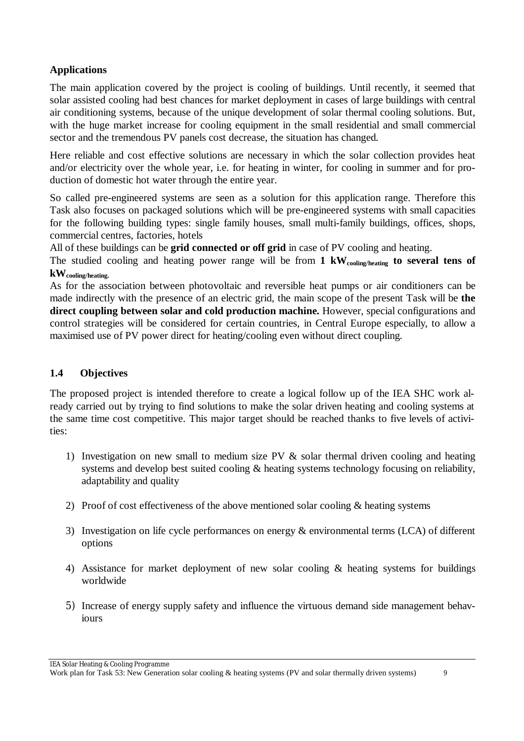# **Applications**

The main application covered by the project is cooling of buildings. Until recently, it seemed that solar assisted cooling had best chances for market deployment in cases of large buildings with central air conditioning systems, because of the unique development of solar thermal cooling solutions. But, with the huge market increase for cooling equipment in the small residential and small commercial sector and the tremendous PV panels cost decrease, the situation has changed.

Here reliable and cost effective solutions are necessary in which the solar collection provides heat and/or electricity over the whole year, i.e. for heating in winter, for cooling in summer and for production of domestic hot water through the entire year.

So called pre-engineered systems are seen as a solution for this application range. Therefore this Task also focuses on packaged solutions which will be pre-engineered systems with small capacities for the following building types: single family houses, small multi-family buildings, offices, shops, commercial centres, factories, hotels

All of these buildings can be **grid connected or off grid** in case of PV cooling and heating.

The studied cooling and heating power range will be from **1 kWcooling/heating to several tens of kWcooling/heating.**

As for the association between photovoltaic and reversible heat pumps or air conditioners can be made indirectly with the presence of an electric grid, the main scope of the present Task will be **the direct coupling between solar and cold production machine.** However, special configurations and control strategies will be considered for certain countries, in Central Europe especially, to allow a maximised use of PV power direct for heating/cooling even without direct coupling.

# **1.4 Objectives**

The proposed project is intended therefore to create a logical follow up of the IEA SHC work already carried out by trying to find solutions to make the solar driven heating and cooling systems at the same time cost competitive. This major target should be reached thanks to five levels of activities:

- 1) Investigation on new small to medium size PV & solar thermal driven cooling and heating systems and develop best suited cooling & heating systems technology focusing on reliability, adaptability and quality
- 2) Proof of cost effectiveness of the above mentioned solar cooling & heating systems
- 3) Investigation on life cycle performances on energy & environmental terms (LCA) of different options
- 4) Assistance for market deployment of new solar cooling & heating systems for buildings worldwide
- 5) Increase of energy supply safety and influence the virtuous demand side management behaviours

Work plan for Task 53: New Generation solar cooling & heating systems (PV and solar thermally driven systems) 9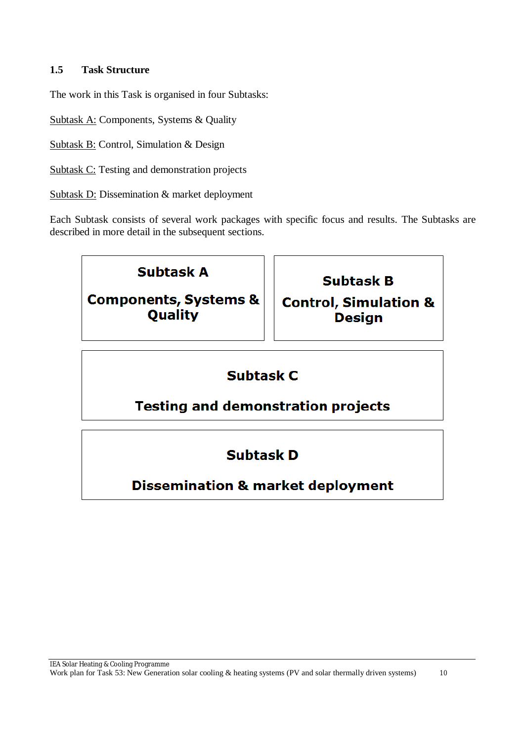#### **1.5 Task Structure**

The work in this Task is organised in four Subtasks:

Subtask A: Components, Systems & Quality

Subtask B: Control, Simulation & Design

Subtask C: Testing and demonstration projects

Subtask D: Dissemination & market deployment

Each Subtask consists of several work packages with specific focus and results. The Subtasks are described in more detail in the subsequent sections.

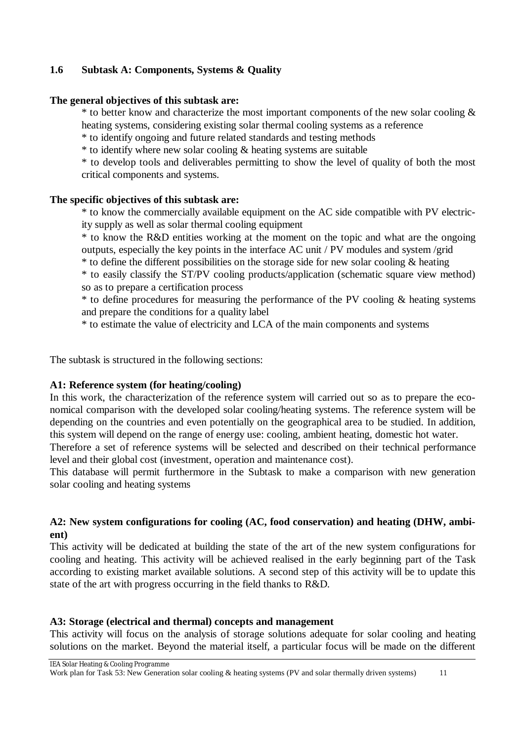### **1.6 Subtask A: Components, Systems & Quality**

#### **The general objectives of this subtask are:**

\* to better know and characterize the most important components of the new solar cooling & heating systems, considering existing solar thermal cooling systems as a reference

\* to identify ongoing and future related standards and testing methods

\* to identify where new solar cooling & heating systems are suitable

\* to develop tools and deliverables permitting to show the level of quality of both the most critical components and systems.

#### **The specific objectives of this subtask are:**

\* to know the commercially available equipment on the AC side compatible with PV electricity supply as well as solar thermal cooling equipment

\* to know the R&D entities working at the moment on the topic and what are the ongoing outputs, especially the key points in the interface AC unit / PV modules and system /grid

\* to define the different possibilities on the storage side for new solar cooling & heating

\* to easily classify the ST/PV cooling products/application (schematic square view method) so as to prepare a certification process

\* to define procedures for measuring the performance of the PV cooling & heating systems and prepare the conditions for a quality label

\* to estimate the value of electricity and LCA of the main components and systems

The subtask is structured in the following sections:

#### **A1: Reference system (for heating/cooling)**

In this work, the characterization of the reference system will carried out so as to prepare the economical comparison with the developed solar cooling/heating systems. The reference system will be depending on the countries and even potentially on the geographical area to be studied. In addition, this system will depend on the range of energy use: cooling, ambient heating, domestic hot water.

Therefore a set of reference systems will be selected and described on their technical performance level and their global cost (investment, operation and maintenance cost).

This database will permit furthermore in the Subtask to make a comparison with new generation solar cooling and heating systems

#### **A2: New system configurations for cooling (AC, food conservation) and heating (DHW, ambient)**

This activity will be dedicated at building the state of the art of the new system configurations for cooling and heating. This activity will be achieved realised in the early beginning part of the Task according to existing market available solutions. A second step of this activity will be to update this state of the art with progress occurring in the field thanks to R&D.

#### **A3: Storage (electrical and thermal) concepts and management**

This activity will focus on the analysis of storage solutions adequate for solar cooling and heating solutions on the market. Beyond the material itself, a particular focus will be made on the different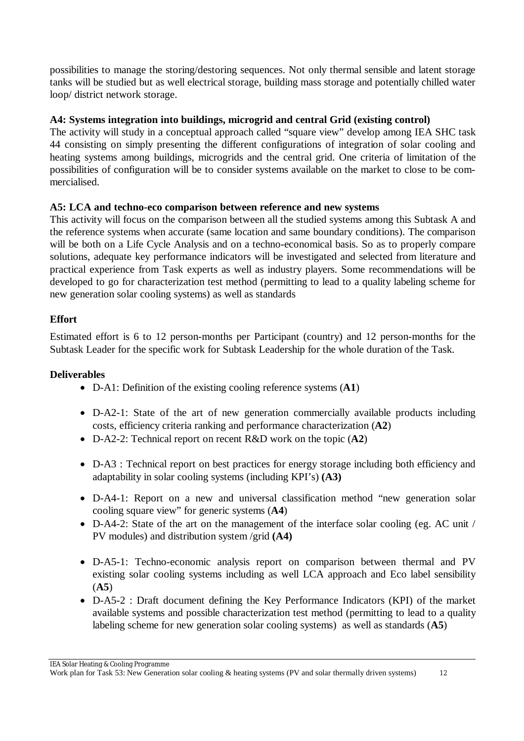possibilities to manage the storing/destoring sequences. Not only thermal sensible and latent storage tanks will be studied but as well electrical storage, building mass storage and potentially chilled water loop/ district network storage.

## **A4: Systems integration into buildings, microgrid and central Grid (existing control)**

The activity will study in a conceptual approach called "square view" develop among IEA SHC task 44 consisting on simply presenting the different configurations of integration of solar cooling and heating systems among buildings, microgrids and the central grid. One criteria of limitation of the possibilities of configuration will be to consider systems available on the market to close to be commercialised.

#### **A5: LCA and techno-eco comparison between reference and new systems**

This activity will focus on the comparison between all the studied systems among this Subtask A and the reference systems when accurate (same location and same boundary conditions). The comparison will be both on a Life Cycle Analysis and on a techno-economical basis. So as to properly compare solutions, adequate key performance indicators will be investigated and selected from literature and practical experience from Task experts as well as industry players. Some recommendations will be developed to go for characterization test method (permitting to lead to a quality labeling scheme for new generation solar cooling systems) as well as standards

# **Effort**

Estimated effort is 6 to 12 person-months per Participant (country) and 12 person-months for the Subtask Leader for the specific work for Subtask Leadership for the whole duration of the Task.

### **Deliverables**

- D-A1: Definition of the existing cooling reference systems (**A1**)
- D-A2-1: State of the art of new generation commercially available products including costs, efficiency criteria ranking and performance characterization (**A2**)
- D-A2-2: Technical report on recent R&D work on the topic (**A2**)
- D-A3 : Technical report on best practices for energy storage including both efficiency and adaptability in solar cooling systems (including KPI's) **(A3)**
- D-A4-1: Report on a new and universal classification method "new generation solar cooling square view" for generic systems (**A4**)
- D-A4-2: State of the art on the management of the interface solar cooling (eg. AC unit / PV modules) and distribution system /grid **(A4)**
- D-A5-1: Techno-economic analysis report on comparison between thermal and PV existing solar cooling systems including as well LCA approach and Eco label sensibility (**A5**)
- D-A5-2 : Draft document defining the Key Performance Indicators (KPI) of the market available systems and possible characterization test method (permitting to lead to a quality labeling scheme for new generation solar cooling systems) as well as standards (**A5**)

Work plan for Task 53: New Generation solar cooling & heating systems (PV and solar thermally driven systems) 12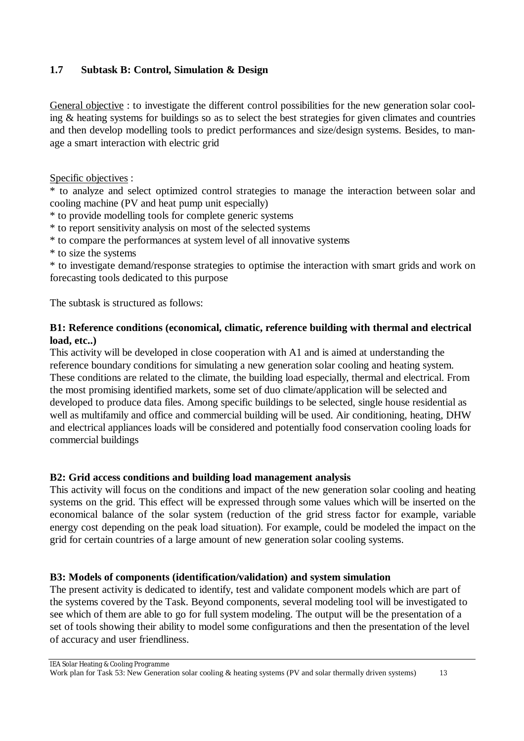## **1.7 Subtask B: Control, Simulation & Design**

General objective : to investigate the different control possibilities for the new generation solar cooling & heating systems for buildings so as to select the best strategies for given climates and countries and then develop modelling tools to predict performances and size/design systems. Besides, to manage a smart interaction with electric grid

Specific objectives :

\* to analyze and select optimized control strategies to manage the interaction between solar and cooling machine (PV and heat pump unit especially)

- \* to provide modelling tools for complete generic systems
- \* to report sensitivity analysis on most of the selected systems
- \* to compare the performances at system level of all innovative systems
- \* to size the systems

\* to investigate demand/response strategies to optimise the interaction with smart grids and work on forecasting tools dedicated to this purpose

The subtask is structured as follows:

#### **B1: Reference conditions (economical, climatic, reference building with thermal and electrical load, etc..)**

This activity will be developed in close cooperation with A1 and is aimed at understanding the reference boundary conditions for simulating a new generation solar cooling and heating system. These conditions are related to the climate, the building load especially, thermal and electrical. From the most promising identified markets, some set of duo climate/application will be selected and developed to produce data files. Among specific buildings to be selected, single house residential as well as multifamily and office and commercial building will be used. Air conditioning, heating, DHW and electrical appliances loads will be considered and potentially food conservation cooling loads for commercial buildings

#### **B2: Grid access conditions and building load management analysis**

This activity will focus on the conditions and impact of the new generation solar cooling and heating systems on the grid. This effect will be expressed through some values which will be inserted on the economical balance of the solar system (reduction of the grid stress factor for example, variable energy cost depending on the peak load situation). For example, could be modeled the impact on the grid for certain countries of a large amount of new generation solar cooling systems.

#### **B3: Models of components (identification/validation) and system simulation**

The present activity is dedicated to identify, test and validate component models which are part of the systems covered by the Task. Beyond components, several modeling tool will be investigated to see which of them are able to go for full system modeling. The output will be the presentation of a set of tools showing their ability to model some configurations and then the presentation of the level of accuracy and user friendliness.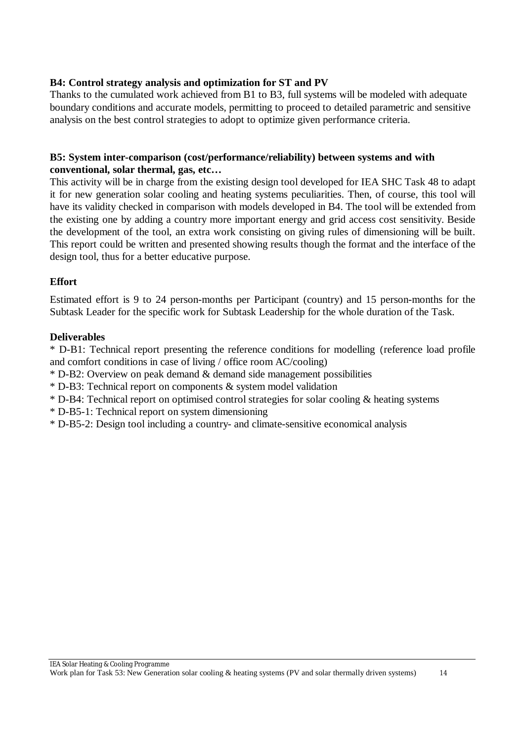#### **B4: Control strategy analysis and optimization for ST and PV**

Thanks to the cumulated work achieved from B1 to B3, full systems will be modeled with adequate boundary conditions and accurate models, permitting to proceed to detailed parametric and sensitive analysis on the best control strategies to adopt to optimize given performance criteria.

#### **B5: System inter-comparison (cost/performance/reliability) between systems and with conventional, solar thermal, gas, etc…**

This activity will be in charge from the existing design tool developed for IEA SHC Task 48 to adapt it for new generation solar cooling and heating systems peculiarities. Then, of course, this tool will have its validity checked in comparison with models developed in B4. The tool will be extended from the existing one by adding a country more important energy and grid access cost sensitivity. Beside the development of the tool, an extra work consisting on giving rules of dimensioning will be built. This report could be written and presented showing results though the format and the interface of the design tool, thus for a better educative purpose.

#### **Effort**

Estimated effort is 9 to 24 person-months per Participant (country) and 15 person-months for the Subtask Leader for the specific work for Subtask Leadership for the whole duration of the Task.

#### **Deliverables**

\* D-B1: Technical report presenting the reference conditions for modelling (reference load profile and comfort conditions in case of living / office room AC/cooling)

- \* D-B2: Overview on peak demand & demand side management possibilities
- \* D-B3: Technical report on components & system model validation
- \* D-B4: Technical report on optimised control strategies for solar cooling & heating systems
- \* D-B5-1: Technical report on system dimensioning
- \* D-B5-2: Design tool including a country- and climate-sensitive economical analysis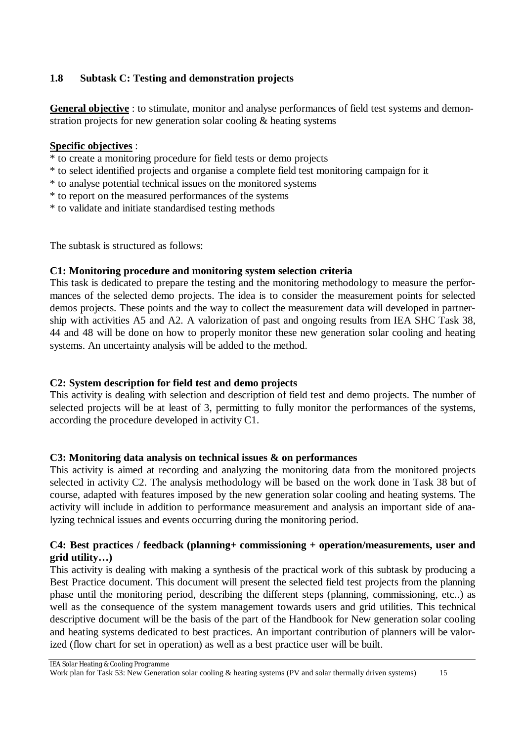## **1.8 Subtask C: Testing and demonstration projects**

**General objective** : to stimulate, monitor and analyse performances of field test systems and demonstration projects for new generation solar cooling & heating systems

#### **Specific objectives** :

- \* to create a monitoring procedure for field tests or demo projects
- \* to select identified projects and organise a complete field test monitoring campaign for it
- \* to analyse potential technical issues on the monitored systems
- \* to report on the measured performances of the systems
- \* to validate and initiate standardised testing methods

The subtask is structured as follows:

#### **C1: Monitoring procedure and monitoring system selection criteria**

This task is dedicated to prepare the testing and the monitoring methodology to measure the performances of the selected demo projects. The idea is to consider the measurement points for selected demos projects. These points and the way to collect the measurement data will developed in partnership with activities A5 and A2. A valorization of past and ongoing results from IEA SHC Task 38, 44 and 48 will be done on how to properly monitor these new generation solar cooling and heating systems. An uncertainty analysis will be added to the method.

# **C2: System description for field test and demo projects**

This activity is dealing with selection and description of field test and demo projects. The number of selected projects will be at least of 3, permitting to fully monitor the performances of the systems, according the procedure developed in activity C1.

#### **C3: Monitoring data analysis on technical issues & on performances**

This activity is aimed at recording and analyzing the monitoring data from the monitored projects selected in activity C2. The analysis methodology will be based on the work done in Task 38 but of course, adapted with features imposed by the new generation solar cooling and heating systems. The activity will include in addition to performance measurement and analysis an important side of analyzing technical issues and events occurring during the monitoring period.

#### **C4: Best practices / feedback (planning+ commissioning + operation/measurements, user and grid utility…)**

This activity is dealing with making a synthesis of the practical work of this subtask by producing a Best Practice document. This document will present the selected field test projects from the planning phase until the monitoring period, describing the different steps (planning, commissioning, etc..) as well as the consequence of the system management towards users and grid utilities. This technical descriptive document will be the basis of the part of the Handbook for New generation solar cooling and heating systems dedicated to best practices. An important contribution of planners will be valorized (flow chart for set in operation) as well as a best practice user will be built.

IEA Solar Heating & Cooling Programme

Work plan for Task 53: New Generation solar cooling & heating systems (PV and solar thermally driven systems) 15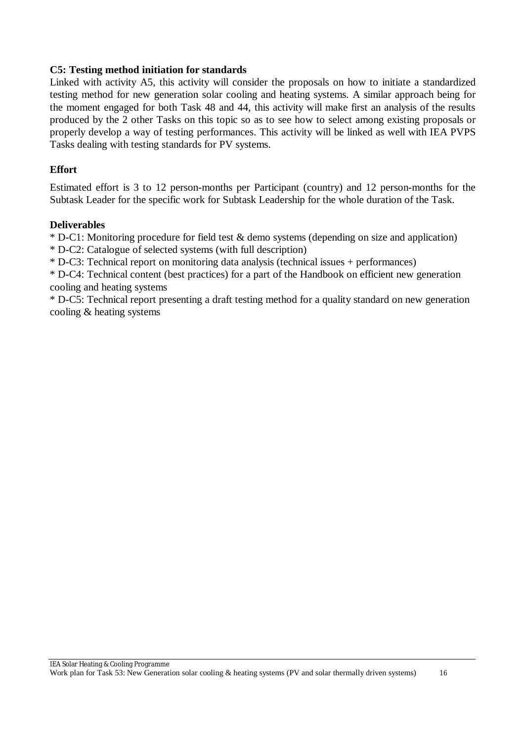#### **C5: Testing method initiation for standards**

Linked with activity A5, this activity will consider the proposals on how to initiate a standardized testing method for new generation solar cooling and heating systems. A similar approach being for the moment engaged for both Task 48 and 44, this activity will make first an analysis of the results produced by the 2 other Tasks on this topic so as to see how to select among existing proposals or properly develop a way of testing performances. This activity will be linked as well with IEA PVPS Tasks dealing with testing standards for PV systems.

#### **Effort**

Estimated effort is 3 to 12 person-months per Participant (country) and 12 person-months for the Subtask Leader for the specific work for Subtask Leadership for the whole duration of the Task.

#### **Deliverables**

\* D-C1: Monitoring procedure for field test & demo systems (depending on size and application)

\* D-C2: Catalogue of selected systems (with full description)

\* D-C3: Technical report on monitoring data analysis (technical issues + performances)

\* D-C4: Technical content (best practices) for a part of the Handbook on efficient new generation cooling and heating systems

\* D-C5: Technical report presenting a draft testing method for a quality standard on new generation cooling & heating systems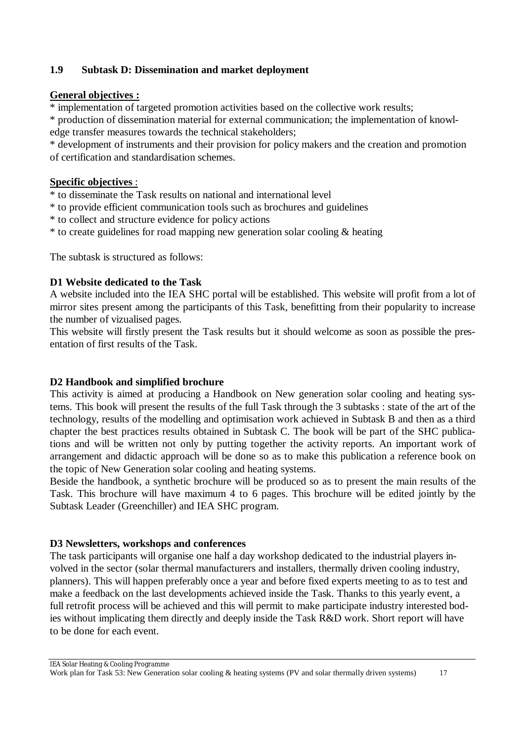#### **1.9 Subtask D: Dissemination and market deployment**

#### **General objectives :**

\* implementation of targeted promotion activities based on the collective work results;

\* production of dissemination material for external communication; the implementation of knowledge transfer measures towards the technical stakeholders;

\* development of instruments and their provision for policy makers and the creation and promotion of certification and standardisation schemes.

#### **Specific objectives** :

\* to disseminate the Task results on national and international level

- \* to provide efficient communication tools such as brochures and guidelines
- \* to collect and structure evidence for policy actions
- \* to create guidelines for road mapping new generation solar cooling & heating

The subtask is structured as follows:

#### **D1 Website dedicated to the Task**

A website included into the IEA SHC portal will be established. This website will profit from a lot of mirror sites present among the participants of this Task, benefitting from their popularity to increase the number of vizualised pages.

This website will firstly present the Task results but it should welcome as soon as possible the presentation of first results of the Task.

#### **D2 Handbook and simplified brochure**

This activity is aimed at producing a Handbook on New generation solar cooling and heating systems. This book will present the results of the full Task through the 3 subtasks : state of the art of the technology, results of the modelling and optimisation work achieved in Subtask B and then as a third chapter the best practices results obtained in Subtask C. The book will be part of the SHC publications and will be written not only by putting together the activity reports. An important work of arrangement and didactic approach will be done so as to make this publication a reference book on the topic of New Generation solar cooling and heating systems.

Beside the handbook, a synthetic brochure will be produced so as to present the main results of the Task. This brochure will have maximum 4 to 6 pages. This brochure will be edited jointly by the Subtask Leader (Greenchiller) and IEA SHC program.

#### **D3 Newsletters, workshops and conferences**

The task participants will organise one half a day workshop dedicated to the industrial players involved in the sector (solar thermal manufacturers and installers, thermally driven cooling industry, planners). This will happen preferably once a year and before fixed experts meeting to as to test and make a feedback on the last developments achieved inside the Task. Thanks to this yearly event, a full retrofit process will be achieved and this will permit to make participate industry interested bodies without implicating them directly and deeply inside the Task R&D work. Short report will have to be done for each event.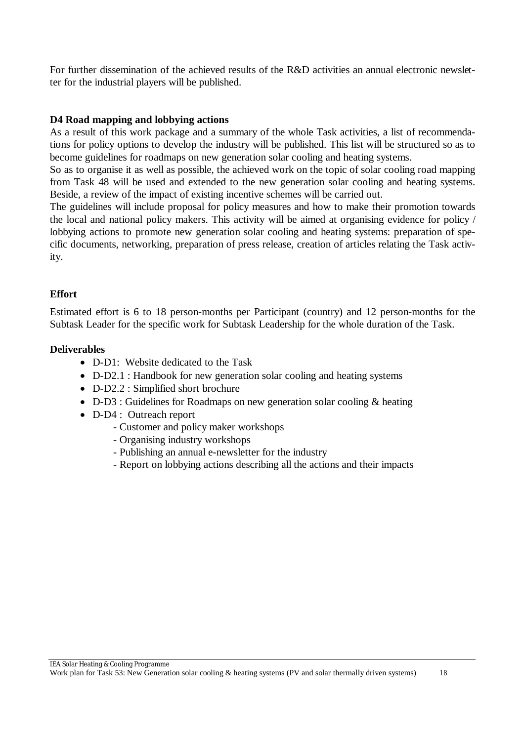For further dissemination of the achieved results of the R&D activities an annual electronic newsletter for the industrial players will be published.

#### **D4 Road mapping and lobbying actions**

As a result of this work package and a summary of the whole Task activities, a list of recommendations for policy options to develop the industry will be published. This list will be structured so as to become guidelines for roadmaps on new generation solar cooling and heating systems.

So as to organise it as well as possible, the achieved work on the topic of solar cooling road mapping from Task 48 will be used and extended to the new generation solar cooling and heating systems. Beside, a review of the impact of existing incentive schemes will be carried out.

The guidelines will include proposal for policy measures and how to make their promotion towards the local and national policy makers. This activity will be aimed at organising evidence for policy / lobbying actions to promote new generation solar cooling and heating systems: preparation of specific documents, networking, preparation of press release, creation of articles relating the Task activity.

#### **Effort**

Estimated effort is 6 to 18 person-months per Participant (country) and 12 person-months for the Subtask Leader for the specific work for Subtask Leadership for the whole duration of the Task.

#### **Deliverables**

- D-D1: Website dedicated to the Task
- D-D2.1 : Handbook for new generation solar cooling and heating systems
- D-D2.2 : Simplified short brochure
- D-D3 : Guidelines for Roadmaps on new generation solar cooling & heating
- D-D4 : Outreach report
	- Customer and policy maker workshops
	- Organising industry workshops
	- Publishing an annual e-newsletter for the industry
	- Report on lobbying actions describing all the actions and their impacts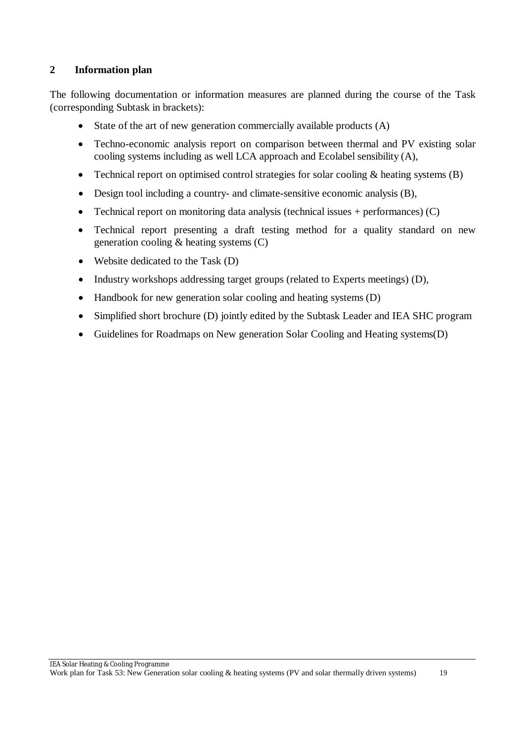#### **2 Information plan**

The following documentation or information measures are planned during the course of the Task (corresponding Subtask in brackets):

- State of the art of new generation commercially available products (A)
- Techno-economic analysis report on comparison between thermal and PV existing solar cooling systems including as well LCA approach and Ecolabel sensibility (A),
- Technical report on optimised control strategies for solar cooling & heating systems (B)
- Design tool including a country- and climate-sensitive economic analysis (B),
- Technical report on monitoring data analysis (technical issues  $+$  performances) (C)
- Technical report presenting a draft testing method for a quality standard on new generation cooling & heating systems (C)
- Website dedicated to the Task (D)
- Industry workshops addressing target groups (related to Experts meetings) (D),
- Handbook for new generation solar cooling and heating systems (D)
- Simplified short brochure (D) jointly edited by the Subtask Leader and IEA SHC program
- Guidelines for Roadmaps on New generation Solar Cooling and Heating systems(D)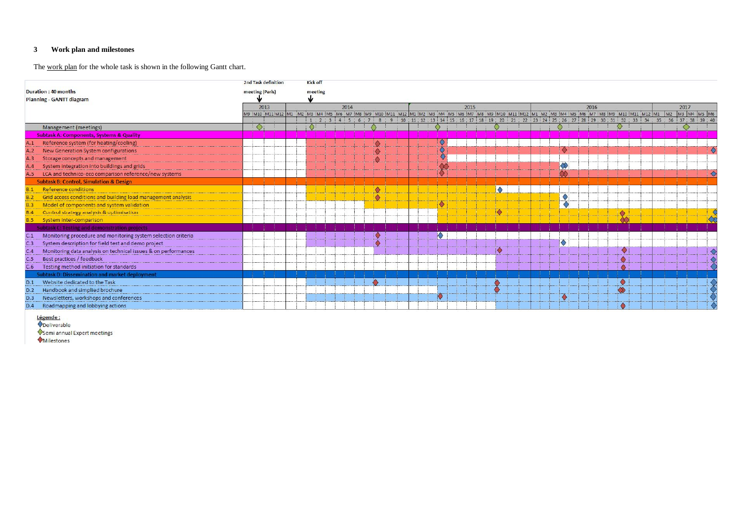# **3 Work plan and milestones**

The work plan for the whole task is shown in the following Gantt chart.

|                                                                       | 2nd Task definition |      | <b>Kick off</b> |      |  |                                                                                                                                                                               |          |             |                   |      |  |         |      |                |
|-----------------------------------------------------------------------|---------------------|------|-----------------|------|--|-------------------------------------------------------------------------------------------------------------------------------------------------------------------------------|----------|-------------|-------------------|------|--|---------|------|----------------|
| Duration: 40 months                                                   | meeting (Paris)     |      | meeting         |      |  |                                                                                                                                                                               |          |             |                   |      |  |         |      |                |
| <b>Planning - GANTT diagram</b>                                       |                     |      |                 |      |  |                                                                                                                                                                               |          |             |                   |      |  |         |      |                |
|                                                                       |                     | 2013 |                 | 2014 |  |                                                                                                                                                                               | 2015     |             |                   | 2016 |  |         | 2017 |                |
|                                                                       |                     |      |                 |      |  | M9 :M10 :M11:M12  M1 :M2 :M3 :M4 :M5 :M6 :M7 :M8 :M9 :M10 :M11 :M12  M1 :M2 :M3 :M4 :M5 :M6 :M7 :M8 :M9 :M10 :M11 :M12  M1 :M2 :M3 :M4 :M5 :M6 :M7 :M8 :M9 :M10 :M11 :M12  M1 |          |             |                   |      |  |         |      | M2 M3 M4 M5 M6 |
|                                                                       |                     |      |                 |      |  |                                                                                                                                                                               | 15:16:17 | 18 19 20 21 | 22:23:24:25:26:27 |      |  | 35 : 36 |      | 37 38 39 4     |
| Management (meetings)                                                 |                     |      |                 |      |  |                                                                                                                                                                               |          |             |                   |      |  |         |      |                |
| <b>Subtask A: Components, Systems &amp; Quality</b>                   |                     |      |                 |      |  |                                                                                                                                                                               |          |             |                   |      |  |         |      |                |
| Reference system (for heating/cooling)                                |                     |      |                 |      |  |                                                                                                                                                                               |          |             |                   |      |  |         |      |                |
| New Generation System configurations<br>A.2                           |                     |      |                 |      |  |                                                                                                                                                                               |          |             |                   |      |  |         |      |                |
| A.3<br>Storage concepts and management                                |                     |      |                 |      |  |                                                                                                                                                                               |          |             |                   |      |  |         |      |                |
| System integration into buildings and grids<br>A.4                    |                     |      |                 |      |  |                                                                                                                                                                               |          |             |                   |      |  |         |      |                |
| LCA and technico-eco comparison reference/new systems<br>A.5          |                     |      |                 |      |  |                                                                                                                                                                               |          |             |                   |      |  |         |      |                |
| <b>Subtask B: Control, Simulation &amp; Design</b>                    |                     |      |                 |      |  |                                                                                                                                                                               |          |             |                   |      |  |         |      |                |
| Reference conditions                                                  |                     |      |                 |      |  |                                                                                                                                                                               |          | $\bullet$   |                   |      |  |         |      |                |
| Grid access conditions and building load management                   |                     |      |                 |      |  |                                                                                                                                                                               |          |             |                   |      |  |         |      |                |
| Model of components and system validation<br><b>B.3</b>               |                     |      |                 |      |  |                                                                                                                                                                               |          |             |                   |      |  |         |      |                |
| Control strategy analysis & optimisation<br>B.4                       |                     |      |                 |      |  |                                                                                                                                                                               |          |             |                   |      |  |         |      |                |
| System inter-comparison                                               |                     |      |                 |      |  |                                                                                                                                                                               |          |             |                   |      |  |         |      |                |
| <b>Subtask C: Testing and demonstration projects</b>                  |                     |      |                 |      |  |                                                                                                                                                                               |          |             |                   |      |  |         |      |                |
| Monitoring procedure and monitoring system selection criteria<br>C.1  |                     |      |                 |      |  |                                                                                                                                                                               |          |             |                   |      |  |         |      |                |
| System description for field test and demo project<br>C.3             |                     |      |                 |      |  |                                                                                                                                                                               |          |             |                   |      |  |         |      |                |
| C.4<br>Monitoring data analysis on technical issues & on performances |                     |      |                 |      |  |                                                                                                                                                                               |          |             |                   |      |  |         |      |                |
| Best practices / feedback<br>C.5                                      |                     |      |                 |      |  |                                                                                                                                                                               |          |             |                   |      |  |         |      |                |
| Testing method initiation for standards<br>C.6                        |                     |      |                 |      |  |                                                                                                                                                                               |          |             |                   |      |  |         |      |                |
| <b>Subtask D: Dissemination and market deployment</b>                 |                     |      |                 |      |  |                                                                                                                                                                               |          |             |                   |      |  |         |      |                |
| Website dedicated to the Task<br>D.1                                  |                     |      |                 |      |  |                                                                                                                                                                               |          |             |                   |      |  |         |      |                |
| D.2 Handbook and simplied brochure<br>D.2                             |                     |      |                 |      |  |                                                                                                                                                                               |          |             |                   |      |  |         |      |                |
| Newsletters, workshops and conferences<br>D.3                         |                     |      |                 |      |  |                                                                                                                                                                               |          |             |                   |      |  |         |      |                |
| Roadmapping and lobbying actions<br>D.4                               |                     |      |                 |      |  |                                                                                                                                                                               |          |             |                   |      |  |         |      |                |

Légende :<br>Opeliverable

Semi annual Expert meetings

Milestones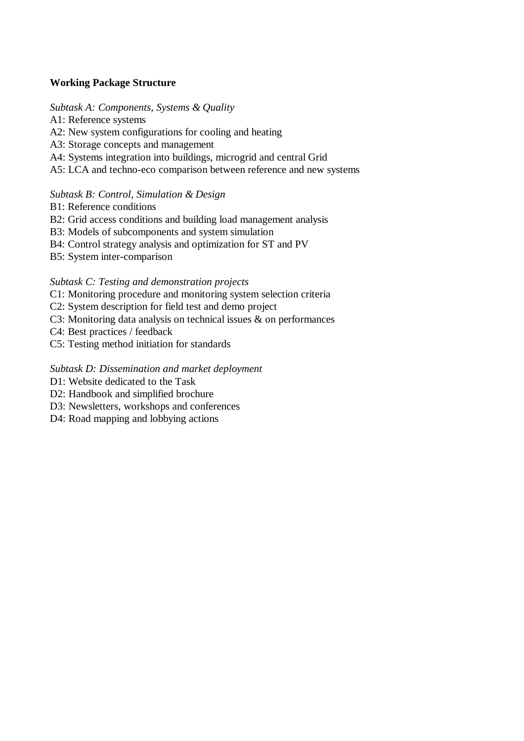#### **Working Package Structure**

#### *Subtask A: Components, Systems & Quality*

A1: Reference systems

- A2: New system configurations for cooling and heating
- A3: Storage concepts and management
- A4: Systems integration into buildings, microgrid and central Grid
- A5: LCA and techno-eco comparison between reference and new systems

#### *Subtask B: Control, Simulation & Design*

- B1: Reference conditions
- B2: Grid access conditions and building load management analysis
- B3: Models of subcomponents and system simulation
- B4: Control strategy analysis and optimization for ST and PV
- B5: System inter-comparison

#### *Subtask C: Testing and demonstration projects*

- C1: Monitoring procedure and monitoring system selection criteria
- C2: System description for field test and demo project
- C3: Monitoring data analysis on technical issues & on performances
- C4: Best practices / feedback
- C5: Testing method initiation for standards

#### *Subtask D: Dissemination and market deployment*

- D1: Website dedicated to the Task
- D2: Handbook and simplified brochure
- D3: Newsletters, workshops and conferences
- D<sub>4</sub>: Road mapping and lobbying actions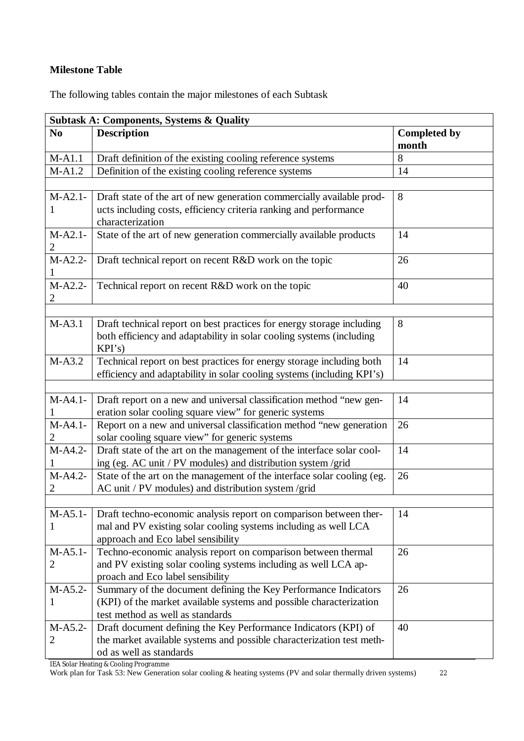### **Milestone Table**

The following tables contain the major milestones of each Subtask

| <b>Subtask A: Components, Systems &amp; Quality</b> |                                                                                                                                                         |                              |  |  |  |  |  |
|-----------------------------------------------------|---------------------------------------------------------------------------------------------------------------------------------------------------------|------------------------------|--|--|--|--|--|
| N <sub>0</sub>                                      | <b>Description</b>                                                                                                                                      | <b>Completed by</b><br>month |  |  |  |  |  |
| $M-A1.1$                                            | Draft definition of the existing cooling reference systems                                                                                              | 8                            |  |  |  |  |  |
| $M-A1.2$                                            | Definition of the existing cooling reference systems                                                                                                    | 14                           |  |  |  |  |  |
|                                                     |                                                                                                                                                         |                              |  |  |  |  |  |
| $M-A2.1-$<br>1                                      | Draft state of the art of new generation commercially available prod-<br>ucts including costs, efficiency criteria ranking and performance              | 8                            |  |  |  |  |  |
|                                                     | characterization                                                                                                                                        |                              |  |  |  |  |  |
| $M-A2.1-$<br>2                                      | State of the art of new generation commercially available products                                                                                      | 14                           |  |  |  |  |  |
| $M-A2.2-$                                           | Draft technical report on recent R&D work on the topic                                                                                                  | 26                           |  |  |  |  |  |
| $M-A2.2-$<br>$\overline{c}$                         | Technical report on recent R&D work on the topic                                                                                                        | 40                           |  |  |  |  |  |
|                                                     |                                                                                                                                                         |                              |  |  |  |  |  |
| $M-A3.1$                                            | Draft technical report on best practices for energy storage including<br>both efficiency and adaptability in solar cooling systems (including<br>KPI's) | 8                            |  |  |  |  |  |
| $M-A3.2$                                            | Technical report on best practices for energy storage including both                                                                                    | 14                           |  |  |  |  |  |
|                                                     | efficiency and adaptability in solar cooling systems (including KPI's)                                                                                  |                              |  |  |  |  |  |
|                                                     |                                                                                                                                                         |                              |  |  |  |  |  |
| $M-A4.1-$                                           | Draft report on a new and universal classification method "new gen-                                                                                     | 14                           |  |  |  |  |  |
|                                                     | eration solar cooling square view" for generic systems                                                                                                  |                              |  |  |  |  |  |
| $M-A4.1-$                                           | Report on a new and universal classification method "new generation                                                                                     | 26                           |  |  |  |  |  |
| 2                                                   | solar cooling square view" for generic systems                                                                                                          |                              |  |  |  |  |  |
| $M-A4.2-$                                           | Draft state of the art on the management of the interface solar cool-                                                                                   | 14                           |  |  |  |  |  |
|                                                     | ing (eg. AC unit / PV modules) and distribution system /grid                                                                                            |                              |  |  |  |  |  |
| $M-A4.2-$                                           | State of the art on the management of the interface solar cooling (eg.                                                                                  | 26                           |  |  |  |  |  |
| 2                                                   | AC unit / PV modules) and distribution system /grid                                                                                                     |                              |  |  |  |  |  |
|                                                     |                                                                                                                                                         |                              |  |  |  |  |  |
| $M-A5.1-$                                           | Draft techno-economic analysis report on comparison between ther-                                                                                       | 14                           |  |  |  |  |  |
|                                                     | mal and PV existing solar cooling systems including as well LCA<br>approach and Eco label sensibility                                                   |                              |  |  |  |  |  |
| $M-A5.1-$                                           | Techno-economic analysis report on comparison between thermal                                                                                           | 26                           |  |  |  |  |  |
| 2                                                   | and PV existing solar cooling systems including as well LCA ap-                                                                                         |                              |  |  |  |  |  |
|                                                     | proach and Eco label sensibility                                                                                                                        |                              |  |  |  |  |  |
| $M-A5.2-$                                           | Summary of the document defining the Key Performance Indicators                                                                                         | 26                           |  |  |  |  |  |
| 1                                                   | (KPI) of the market available systems and possible characterization                                                                                     |                              |  |  |  |  |  |
|                                                     | test method as well as standards                                                                                                                        |                              |  |  |  |  |  |
| M-A5.2-                                             | Draft document defining the Key Performance Indicators (KPI) of                                                                                         | 40                           |  |  |  |  |  |
| 2                                                   | the market available systems and possible characterization test meth-                                                                                   |                              |  |  |  |  |  |
|                                                     | od as well as standards                                                                                                                                 |                              |  |  |  |  |  |

IEA Solar Heating & Cooling Programme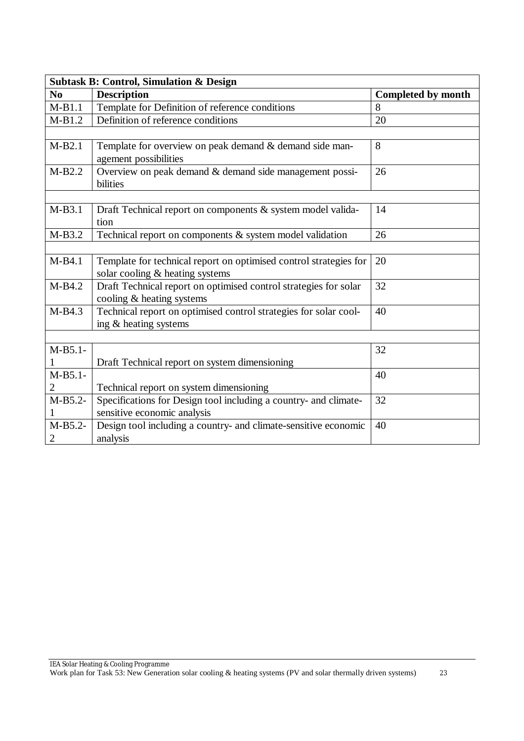| <b>Subtask B: Control, Simulation &amp; Design</b> |                                                                   |                           |  |  |  |  |  |  |
|----------------------------------------------------|-------------------------------------------------------------------|---------------------------|--|--|--|--|--|--|
| N <sub>0</sub>                                     | <b>Description</b>                                                | <b>Completed by month</b> |  |  |  |  |  |  |
| $M-B1.1$                                           | Template for Definition of reference conditions                   | 8                         |  |  |  |  |  |  |
| $M-B1.2$                                           | Definition of reference conditions                                | 20                        |  |  |  |  |  |  |
|                                                    |                                                                   |                           |  |  |  |  |  |  |
| $M-B2.1$                                           | Template for overview on peak demand & demand side man-           | 8                         |  |  |  |  |  |  |
|                                                    | agement possibilities                                             |                           |  |  |  |  |  |  |
| $M-B2.2$                                           | Overview on peak demand & demand side management possi-           | 26                        |  |  |  |  |  |  |
|                                                    | bilities                                                          |                           |  |  |  |  |  |  |
|                                                    |                                                                   |                           |  |  |  |  |  |  |
| M-B3.1                                             | Draft Technical report on components & system model valida-       | 14                        |  |  |  |  |  |  |
|                                                    | tion                                                              |                           |  |  |  |  |  |  |
| $M-B3.2$                                           | Technical report on components $\&$ system model validation       | 26                        |  |  |  |  |  |  |
|                                                    |                                                                   |                           |  |  |  |  |  |  |
| $M-B4.1$                                           | Template for technical report on optimised control strategies for | 20                        |  |  |  |  |  |  |
|                                                    | solar cooling & heating systems                                   |                           |  |  |  |  |  |  |
| $M-B4.2$                                           | Draft Technical report on optimised control strategies for solar  | 32                        |  |  |  |  |  |  |
|                                                    | cooling & heating systems                                         |                           |  |  |  |  |  |  |
| $M-B4.3$                                           | Technical report on optimised control strategies for solar cool-  | 40                        |  |  |  |  |  |  |
|                                                    | ing & heating systems                                             |                           |  |  |  |  |  |  |
|                                                    |                                                                   |                           |  |  |  |  |  |  |
| $M-B5.1-$                                          |                                                                   | 32                        |  |  |  |  |  |  |
| $\mathbf{I}$                                       | Draft Technical report on system dimensioning                     |                           |  |  |  |  |  |  |
| $M-B5.1-$                                          |                                                                   | 40                        |  |  |  |  |  |  |
| 2                                                  | Technical report on system dimensioning                           |                           |  |  |  |  |  |  |
| $M-B5.2-$                                          | Specifications for Design tool including a country- and climate-  | 32                        |  |  |  |  |  |  |
|                                                    | sensitive economic analysis                                       |                           |  |  |  |  |  |  |
| $M-B5.2-$                                          | Design tool including a country- and climate-sensitive economic   | 40                        |  |  |  |  |  |  |
| $\overline{2}$                                     | analysis                                                          |                           |  |  |  |  |  |  |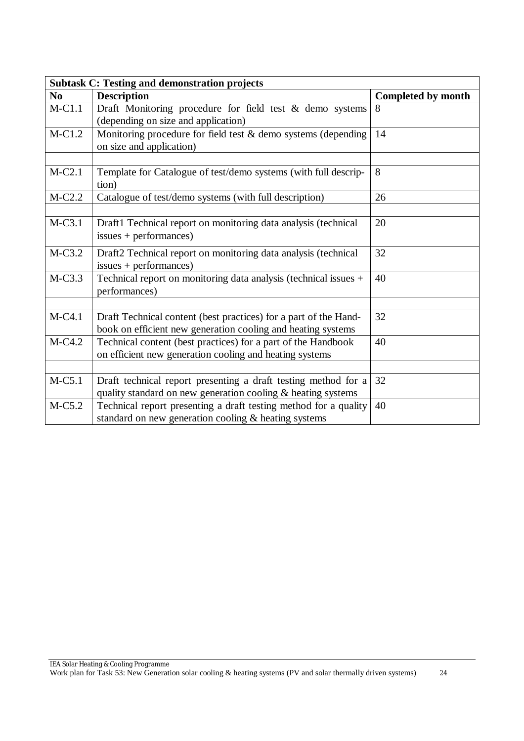|                | <b>Subtask C: Testing and demonstration projects</b>                                                                             |                           |  |  |  |  |  |  |  |
|----------------|----------------------------------------------------------------------------------------------------------------------------------|---------------------------|--|--|--|--|--|--|--|
| N <sub>0</sub> | <b>Description</b>                                                                                                               | <b>Completed by month</b> |  |  |  |  |  |  |  |
| $M-C1.1$       | Draft Monitoring procedure for field test $&$ demo systems                                                                       | 8                         |  |  |  |  |  |  |  |
|                | (depending on size and application)                                                                                              |                           |  |  |  |  |  |  |  |
| $M-C1.2$       | Monitoring procedure for field test $&$ demo systems (depending<br>on size and application)                                      | 14                        |  |  |  |  |  |  |  |
|                |                                                                                                                                  |                           |  |  |  |  |  |  |  |
| $M-C2.1$       | Template for Catalogue of test/demo systems (with full descrip-<br>tion)                                                         | 8                         |  |  |  |  |  |  |  |
| $M-C2.2$       | Catalogue of test/demo systems (with full description)                                                                           | 26                        |  |  |  |  |  |  |  |
|                |                                                                                                                                  |                           |  |  |  |  |  |  |  |
| $M-C3.1$       | Draft1 Technical report on monitoring data analysis (technical<br>$issues + performances)$                                       | 20                        |  |  |  |  |  |  |  |
| $M-C3.2$       | Draft2 Technical report on monitoring data analysis (technical<br>$issues + performances)$                                       | 32                        |  |  |  |  |  |  |  |
| $M-C3.3$       | Technical report on monitoring data analysis (technical issues +<br>performances)                                                | 40                        |  |  |  |  |  |  |  |
|                |                                                                                                                                  |                           |  |  |  |  |  |  |  |
| $M-C4.1$       | Draft Technical content (best practices) for a part of the Hand-<br>book on efficient new generation cooling and heating systems | 32                        |  |  |  |  |  |  |  |
| M-C4.2         | Technical content (best practices) for a part of the Handbook<br>on efficient new generation cooling and heating systems         | 40                        |  |  |  |  |  |  |  |
|                |                                                                                                                                  |                           |  |  |  |  |  |  |  |
| $M-C5.1$       | Draft technical report presenting a draft testing method for a                                                                   | 32                        |  |  |  |  |  |  |  |
|                | quality standard on new generation cooling & heating systems                                                                     |                           |  |  |  |  |  |  |  |
| $M-C5.2$       | Technical report presenting a draft testing method for a quality                                                                 | 40                        |  |  |  |  |  |  |  |
|                | standard on new generation cooling & heating systems                                                                             |                           |  |  |  |  |  |  |  |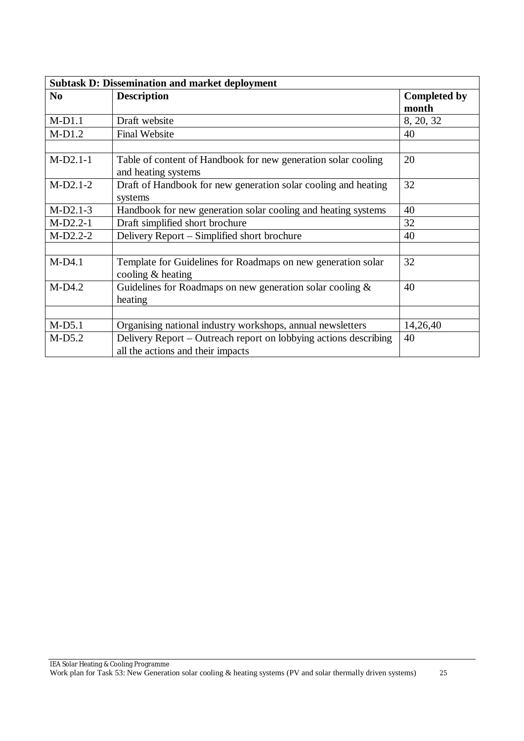| <b>Subtask D: Dissemination and market deployment</b> |                                                                  |                     |  |  |  |  |  |
|-------------------------------------------------------|------------------------------------------------------------------|---------------------|--|--|--|--|--|
| N <sub>0</sub>                                        | <b>Description</b>                                               | <b>Completed by</b> |  |  |  |  |  |
|                                                       |                                                                  | month               |  |  |  |  |  |
| $M-D1.1$                                              | Draft website                                                    | 8, 20, 32           |  |  |  |  |  |
| $M-D1.2$                                              | <b>Final Website</b>                                             | 40                  |  |  |  |  |  |
|                                                       |                                                                  |                     |  |  |  |  |  |
| $M-D2.1-1$                                            | Table of content of Handbook for new generation solar cooling    | 20                  |  |  |  |  |  |
|                                                       | and heating systems                                              |                     |  |  |  |  |  |
| $M-D2.1-2$                                            | Draft of Handbook for new generation solar cooling and heating   | 32                  |  |  |  |  |  |
|                                                       | systems                                                          |                     |  |  |  |  |  |
| $M-D2.1-3$                                            | Handbook for new generation solar cooling and heating systems    | 40                  |  |  |  |  |  |
| $M-D2.2-1$                                            | Draft simplified short brochure                                  | 32                  |  |  |  |  |  |
| $M-D2.2-2$                                            | Delivery Report – Simplified short brochure                      | 40                  |  |  |  |  |  |
|                                                       |                                                                  |                     |  |  |  |  |  |
| $M-D4.1$                                              | Template for Guidelines for Roadmaps on new generation solar     | 32                  |  |  |  |  |  |
|                                                       | cooling & heating                                                |                     |  |  |  |  |  |
| $M-D4.2$                                              | Guidelines for Roadmaps on new generation solar cooling $\&$     | 40                  |  |  |  |  |  |
|                                                       | heating                                                          |                     |  |  |  |  |  |
|                                                       |                                                                  |                     |  |  |  |  |  |
| $M-D5.1$                                              | Organising national industry workshops, annual newsletters       | 14,26,40            |  |  |  |  |  |
| $M-D5.2$                                              | Delivery Report – Outreach report on lobbying actions describing | 40                  |  |  |  |  |  |
|                                                       | all the actions and their impacts                                |                     |  |  |  |  |  |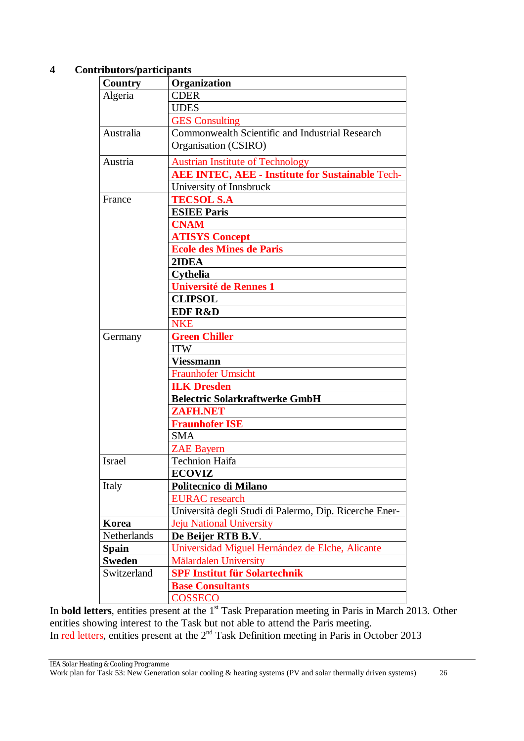#### **4 Contributors/participants**

| Country       | Organization                                            |  |  |  |  |  |
|---------------|---------------------------------------------------------|--|--|--|--|--|
| Algeria       | <b>CDER</b>                                             |  |  |  |  |  |
|               | <b>UDES</b>                                             |  |  |  |  |  |
|               | <b>GES</b> Consulting                                   |  |  |  |  |  |
| Australia     | Commonwealth Scientific and Industrial Research         |  |  |  |  |  |
|               | Organisation (CSIRO)                                    |  |  |  |  |  |
| Austria       | <b>Austrian Institute of Technology</b>                 |  |  |  |  |  |
|               | <b>AEE INTEC, AEE - Institute for Sustainable Tech-</b> |  |  |  |  |  |
|               | University of Innsbruck                                 |  |  |  |  |  |
| France        | <b>TECSOL S.A</b>                                       |  |  |  |  |  |
|               | <b>ESIEE Paris</b>                                      |  |  |  |  |  |
|               | <b>CNAM</b>                                             |  |  |  |  |  |
|               | <b>ATISYS Concept</b>                                   |  |  |  |  |  |
|               | <b>Ecole des Mines de Paris</b>                         |  |  |  |  |  |
|               | 2IDEA                                                   |  |  |  |  |  |
|               | <b>Cythelia</b>                                         |  |  |  |  |  |
|               | <b>Université de Rennes 1</b>                           |  |  |  |  |  |
|               | <b>CLIPSOL</b>                                          |  |  |  |  |  |
|               | <b>EDF R&amp;D</b>                                      |  |  |  |  |  |
|               | <b>NKE</b>                                              |  |  |  |  |  |
| Germany       | <b>Green Chiller</b>                                    |  |  |  |  |  |
|               | <b>ITW</b>                                              |  |  |  |  |  |
|               | <b>Viessmann</b>                                        |  |  |  |  |  |
|               | <b>Fraunhofer Umsicht</b>                               |  |  |  |  |  |
|               | <b>ILK Dresden</b>                                      |  |  |  |  |  |
|               | <b>Belectric Solarkraftwerke GmbH</b>                   |  |  |  |  |  |
|               | <b>ZAFH.NET</b>                                         |  |  |  |  |  |
|               | <b>Fraunhofer ISE</b>                                   |  |  |  |  |  |
|               | <b>SMA</b>                                              |  |  |  |  |  |
|               |                                                         |  |  |  |  |  |
| Israel        | <b>ZAE Bayern</b><br><b>Technion Haifa</b>              |  |  |  |  |  |
|               |                                                         |  |  |  |  |  |
|               | <b>ECOVIZ</b>                                           |  |  |  |  |  |
| Italy         | Politecnico di Milano                                   |  |  |  |  |  |
|               | <b>EURAC</b> research                                   |  |  |  |  |  |
|               | Università degli Studi di Palermo, Dip. Ricerche Ener-  |  |  |  |  |  |
| Korea         | Jeju National University                                |  |  |  |  |  |
| Netherlands   | De Beijer RTB B.V.                                      |  |  |  |  |  |
| <b>Spain</b>  | Universidad Miguel Hernández de Elche, Alicante         |  |  |  |  |  |
| <b>Sweden</b> | <b>Mälardalen University</b>                            |  |  |  |  |  |
| Switzerland   | <b>SPF Institut für Solartechnik</b>                    |  |  |  |  |  |
|               | <b>Base Consultants</b>                                 |  |  |  |  |  |
|               | <b>COSSECO</b>                                          |  |  |  |  |  |

In **bold letters**, entities present at the 1<sup>st</sup> Task Preparation meeting in Paris in March 2013. Other entities showing interest to the Task but not able to attend the Paris meeting. In red letters, entities present at the 2<sup>nd</sup> Task Definition meeting in Paris in October 2013

IEA Solar Heating & Cooling Programme

Work plan for Task 53: New Generation solar cooling & heating systems (PV and solar thermally driven systems) 26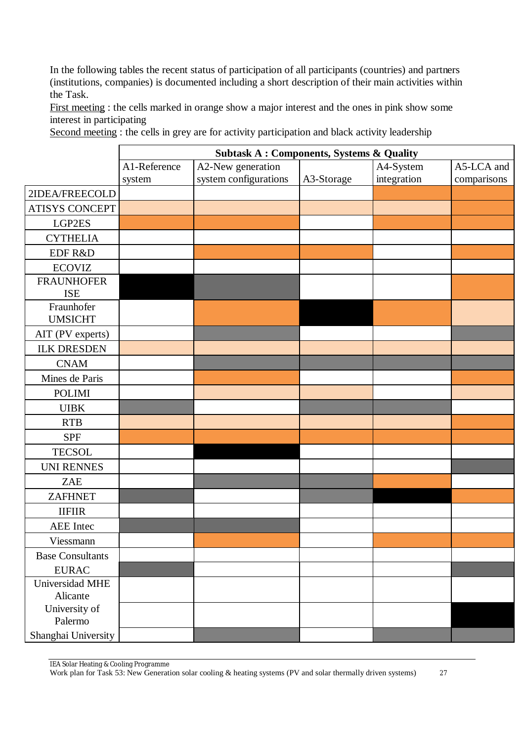In the following tables the recent status of participation of all participants (countries) and partners (institutions, companies) is documented including a short description of their main activities within the Task.

First meeting : the cells marked in orange show a major interest and the ones in pink show some interest in participating

Second meeting : the cells in grey are for activity participation and black activity leadership

|                                 | <b>Subtask A: Components, Systems &amp; Quality</b> |                       |            |             |             |  |  |  |
|---------------------------------|-----------------------------------------------------|-----------------------|------------|-------------|-------------|--|--|--|
|                                 | A1-Reference                                        | A2-New generation     |            | A4-System   | A5-LCA and  |  |  |  |
|                                 | system                                              | system configurations | A3-Storage | integration | comparisons |  |  |  |
| 2IDEA/FREECOLD                  |                                                     |                       |            |             |             |  |  |  |
| ATISYS CONCEPT                  |                                                     |                       |            |             |             |  |  |  |
| LGP2ES                          |                                                     |                       |            |             |             |  |  |  |
| <b>CYTHELIA</b>                 |                                                     |                       |            |             |             |  |  |  |
| EDF R&D                         |                                                     |                       |            |             |             |  |  |  |
| <b>ECOVIZ</b>                   |                                                     |                       |            |             |             |  |  |  |
| <b>FRAUNHOFER</b><br><b>ISE</b> |                                                     |                       |            |             |             |  |  |  |
| Fraunhofer<br><b>UMSICHT</b>    |                                                     |                       |            |             |             |  |  |  |
| AIT (PV experts)                |                                                     |                       |            |             |             |  |  |  |
| <b>ILK DRESDEN</b>              |                                                     |                       |            |             |             |  |  |  |
| <b>CNAM</b>                     |                                                     |                       |            |             |             |  |  |  |
| Mines de Paris                  |                                                     |                       |            |             |             |  |  |  |
| <b>POLIMI</b>                   |                                                     |                       |            |             |             |  |  |  |
| <b>UIBK</b>                     |                                                     |                       |            |             |             |  |  |  |
| <b>RTB</b>                      |                                                     |                       |            |             |             |  |  |  |
| <b>SPF</b>                      |                                                     |                       |            |             |             |  |  |  |
| <b>TECSOL</b>                   |                                                     |                       |            |             |             |  |  |  |
| <b>UNI RENNES</b>               |                                                     |                       |            |             |             |  |  |  |
| <b>ZAE</b>                      |                                                     |                       |            |             |             |  |  |  |
| <b>ZAFHNET</b>                  |                                                     |                       |            |             |             |  |  |  |
| <b>IIFIIR</b>                   |                                                     |                       |            |             |             |  |  |  |
| AEE Intec                       |                                                     |                       |            |             |             |  |  |  |
| Viessmann                       |                                                     |                       |            |             |             |  |  |  |
| <b>Base Consultants</b>         |                                                     |                       |            |             |             |  |  |  |
| <b>EURAC</b>                    |                                                     |                       |            |             |             |  |  |  |
| Universidad MHE                 |                                                     |                       |            |             |             |  |  |  |
| Alicante                        |                                                     |                       |            |             |             |  |  |  |
| University of                   |                                                     |                       |            |             |             |  |  |  |
| Palermo                         |                                                     |                       |            |             |             |  |  |  |
| Shanghai University             |                                                     |                       |            |             |             |  |  |  |

IEA Solar Heating & Cooling Programme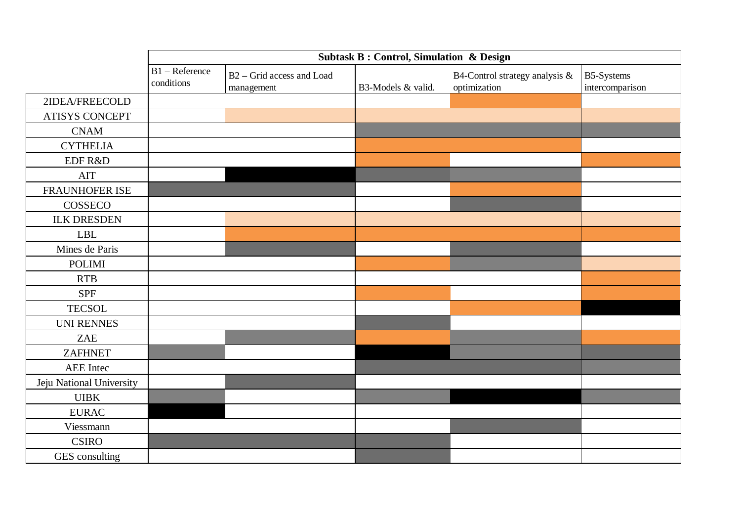|                          | <b>Subtask B: Control, Simulation &amp; Design</b> |                                                     |                    |                                                |                               |  |  |  |
|--------------------------|----------------------------------------------------|-----------------------------------------------------|--------------------|------------------------------------------------|-------------------------------|--|--|--|
|                          | B1 - Reference<br>conditions                       | B <sub>2</sub> – Grid access and Load<br>management | B3-Models & valid. | B4-Control strategy analysis &<br>optimization | B5-Systems<br>intercomparison |  |  |  |
| 2IDEA/FREECOLD           |                                                    |                                                     |                    |                                                |                               |  |  |  |
| <b>ATISYS CONCEPT</b>    |                                                    |                                                     |                    |                                                |                               |  |  |  |
| <b>CNAM</b>              |                                                    |                                                     |                    |                                                |                               |  |  |  |
| <b>CYTHELIA</b>          |                                                    |                                                     |                    |                                                |                               |  |  |  |
| EDF R&D                  |                                                    |                                                     |                    |                                                |                               |  |  |  |
| <b>AIT</b>               |                                                    |                                                     |                    |                                                |                               |  |  |  |
| <b>FRAUNHOFER ISE</b>    |                                                    |                                                     |                    |                                                |                               |  |  |  |
| COSSECO                  |                                                    |                                                     |                    |                                                |                               |  |  |  |
| <b>ILK DRESDEN</b>       |                                                    |                                                     |                    |                                                |                               |  |  |  |
| <b>LBL</b>               |                                                    |                                                     |                    |                                                |                               |  |  |  |
| Mines de Paris           |                                                    |                                                     |                    |                                                |                               |  |  |  |
| <b>POLIMI</b>            |                                                    |                                                     |                    |                                                |                               |  |  |  |
| <b>RTB</b>               |                                                    |                                                     |                    |                                                |                               |  |  |  |
| <b>SPF</b>               |                                                    |                                                     |                    |                                                |                               |  |  |  |
| <b>TECSOL</b>            |                                                    |                                                     |                    |                                                |                               |  |  |  |
| <b>UNI RENNES</b>        |                                                    |                                                     |                    |                                                |                               |  |  |  |
| <b>ZAE</b>               |                                                    |                                                     |                    |                                                |                               |  |  |  |
| <b>ZAFHNET</b>           |                                                    |                                                     |                    |                                                |                               |  |  |  |
| AEE Intec                |                                                    |                                                     |                    |                                                |                               |  |  |  |
| Jeju National University |                                                    |                                                     |                    |                                                |                               |  |  |  |
| <b>UIBK</b>              |                                                    |                                                     |                    |                                                |                               |  |  |  |
| <b>EURAC</b>             |                                                    |                                                     |                    |                                                |                               |  |  |  |
| Viessmann                |                                                    |                                                     |                    |                                                |                               |  |  |  |
| <b>CSIRO</b>             |                                                    |                                                     |                    |                                                |                               |  |  |  |
| GES consulting           |                                                    |                                                     |                    |                                                |                               |  |  |  |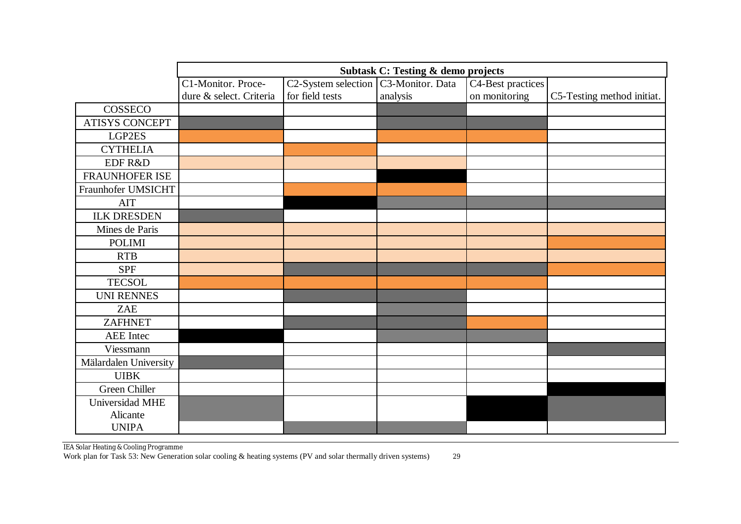|                       | <b>Subtask C: Testing &amp; demo projects</b> |                     |                  |                   |                            |  |  |  |
|-----------------------|-----------------------------------------------|---------------------|------------------|-------------------|----------------------------|--|--|--|
|                       | C1-Monitor. Proce-                            | C2-System selection | C3-Monitor. Data | C4-Best practices |                            |  |  |  |
|                       | dure & select. Criteria                       | for field tests     | analysis         | on monitoring     | C5-Testing method initiat. |  |  |  |
| COSSECO               |                                               |                     |                  |                   |                            |  |  |  |
| ATISYS CONCEPT        |                                               |                     |                  |                   |                            |  |  |  |
| LGP2ES                |                                               |                     |                  |                   |                            |  |  |  |
| <b>CYTHELIA</b>       |                                               |                     |                  |                   |                            |  |  |  |
| EDF R&D               |                                               |                     |                  |                   |                            |  |  |  |
| <b>FRAUNHOFER ISE</b> |                                               |                     |                  |                   |                            |  |  |  |
| Fraunhofer UMSICHT    |                                               |                     |                  |                   |                            |  |  |  |
| <b>AIT</b>            |                                               |                     |                  |                   |                            |  |  |  |
| <b>ILK DRESDEN</b>    |                                               |                     |                  |                   |                            |  |  |  |
| Mines de Paris        |                                               |                     |                  |                   |                            |  |  |  |
| <b>POLIMI</b>         |                                               |                     |                  |                   |                            |  |  |  |
| <b>RTB</b>            |                                               |                     |                  |                   |                            |  |  |  |
| <b>SPF</b>            |                                               |                     |                  |                   |                            |  |  |  |
| <b>TECSOL</b>         |                                               |                     |                  |                   |                            |  |  |  |
| <b>UNI RENNES</b>     |                                               |                     |                  |                   |                            |  |  |  |
| <b>ZAE</b>            |                                               |                     |                  |                   |                            |  |  |  |
| <b>ZAFHNET</b>        |                                               |                     |                  |                   |                            |  |  |  |
| <b>AEE</b> Intec      |                                               |                     |                  |                   |                            |  |  |  |
| Viessmann             |                                               |                     |                  |                   |                            |  |  |  |
| Mälardalen University |                                               |                     |                  |                   |                            |  |  |  |
| <b>UIBK</b>           |                                               |                     |                  |                   |                            |  |  |  |
| Green Chiller         |                                               |                     |                  |                   |                            |  |  |  |
| Universidad MHE       |                                               |                     |                  |                   |                            |  |  |  |
| Alicante              |                                               |                     |                  |                   |                            |  |  |  |
| <b>UNIPA</b>          |                                               |                     |                  |                   |                            |  |  |  |

IEA Solar Heating & Cooling Programme Work plan for Task 53: New Generation solar cooling & heating systems (PV and solar thermally driven systems) 29